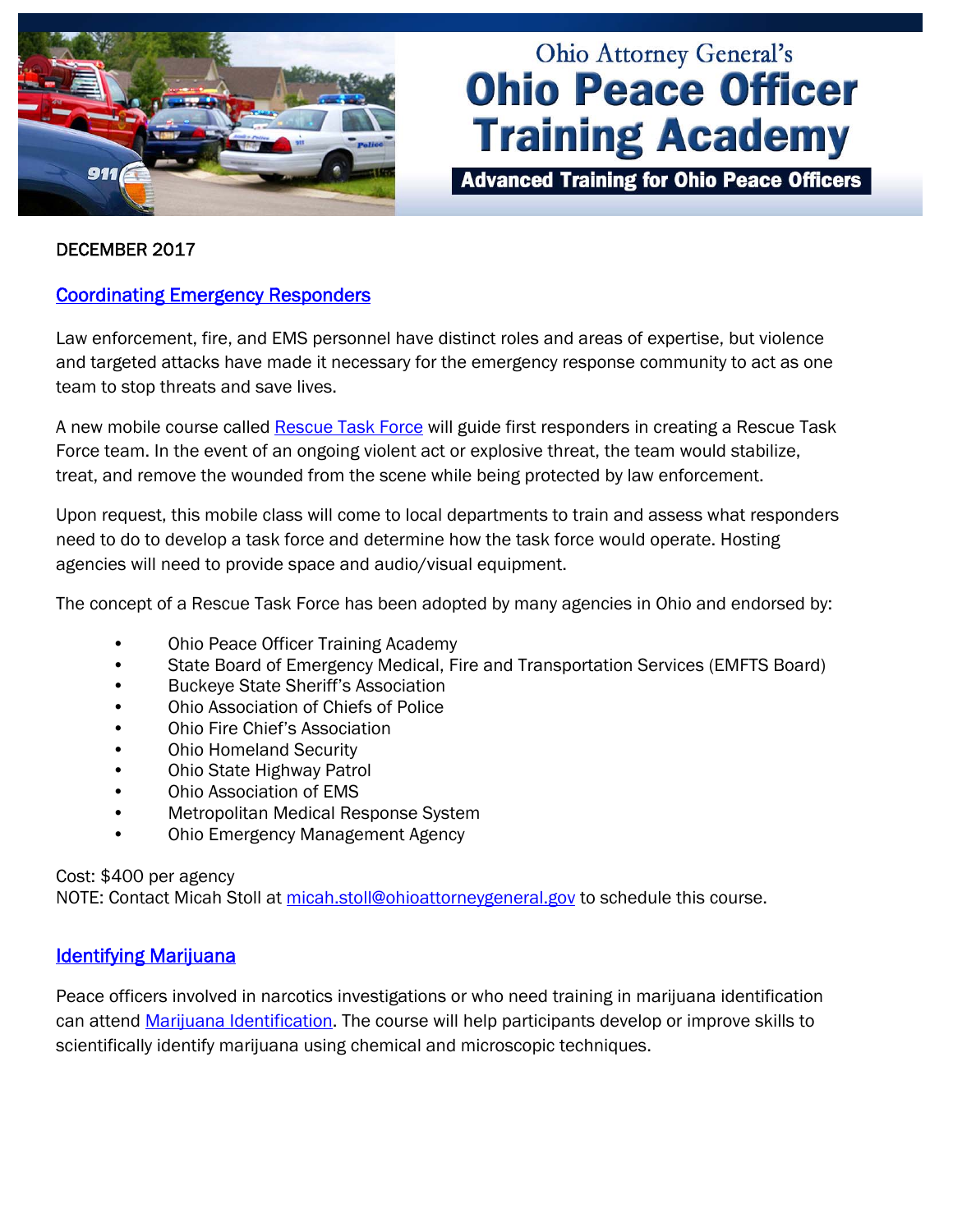

# **Ohio Attorney General's Ohio Peace Officer Training Academy**

**Advanced Training for Ohio Peace Officers** 

#### DECEMBER 2017

### [Coordinating Emergency Responders](http://www.ohioattorneygeneral.gov/Media/Newsletters/Ohio-Peace-Officer-Training-Academy-email-newslett/December-2017-(1)/Coordinating-Emergency-Response-Efforts)

Law enforcement, fire, and EMS personnel have distinct roles and areas of expertise, but violence and targeted attacks have made it necessary for the emergency response community to act as one team to stop threats and save lives.

A new mobile course called [Rescue Task Force](http://www.ohioattorneygeneral.gov/Law-Enforcement/Ohio-Peace-Officer-Training-Academy/Course-Catalog/Course-Categories/Homeland-Security-Courses#OPOTA958) will guide first responders in creating a Rescue Task Force team. In the event of an ongoing violent act or explosive threat, the team would stabilize, treat, and remove the wounded from the scene while being protected by law enforcement.

Upon request, this mobile class will come to local departments to train and assess what responders need to do to develop a task force and determine how the task force would operate. Hosting agencies will need to provide space and audio/visual equipment.

The concept of a Rescue Task Force has been adopted by many agencies in Ohio and endorsed by:

- Ohio Peace Officer Training Academy
- State Board of Emergency Medical, Fire and Transportation Services (EMFTS Board)
- Buckeye State Sheriff's Association
- Ohio Association of Chiefs of Police
- Ohio Fire Chief's Association
- Ohio Homeland Security
- Ohio State Highway Patrol
- Ohio Association of EMS
- Metropolitan Medical Response System
- Ohio Emergency Management Agency

#### Cost: \$400 per agency

NOTE: Contact Micah Stoll at micah.stoll@ohioattorneygeneral.gov to schedule this course.

#### [Identifying Marijuana](http://www.ohioattorneygeneral.gov/Law-Enforcement/Ohio-Peace-Officer-Training-Academy/Course-Catalog/Course-Categories/Crime-Scene-Courses#OPOTA169)

Peace officers involved in narcotics investigations or who need training in marijuana identification can attend [Marijuana Identification.](http://www.ohioattorneygeneral.gov/Law-Enforcement/Ohio-Peace-Officer-Training-Academy/Course-Catalog/Course-Categories/Crime-Scene-Courses#OPOTA169) The course will help participants develop or improve skills to scientifically identify marijuana using chemical and microscopic techniques.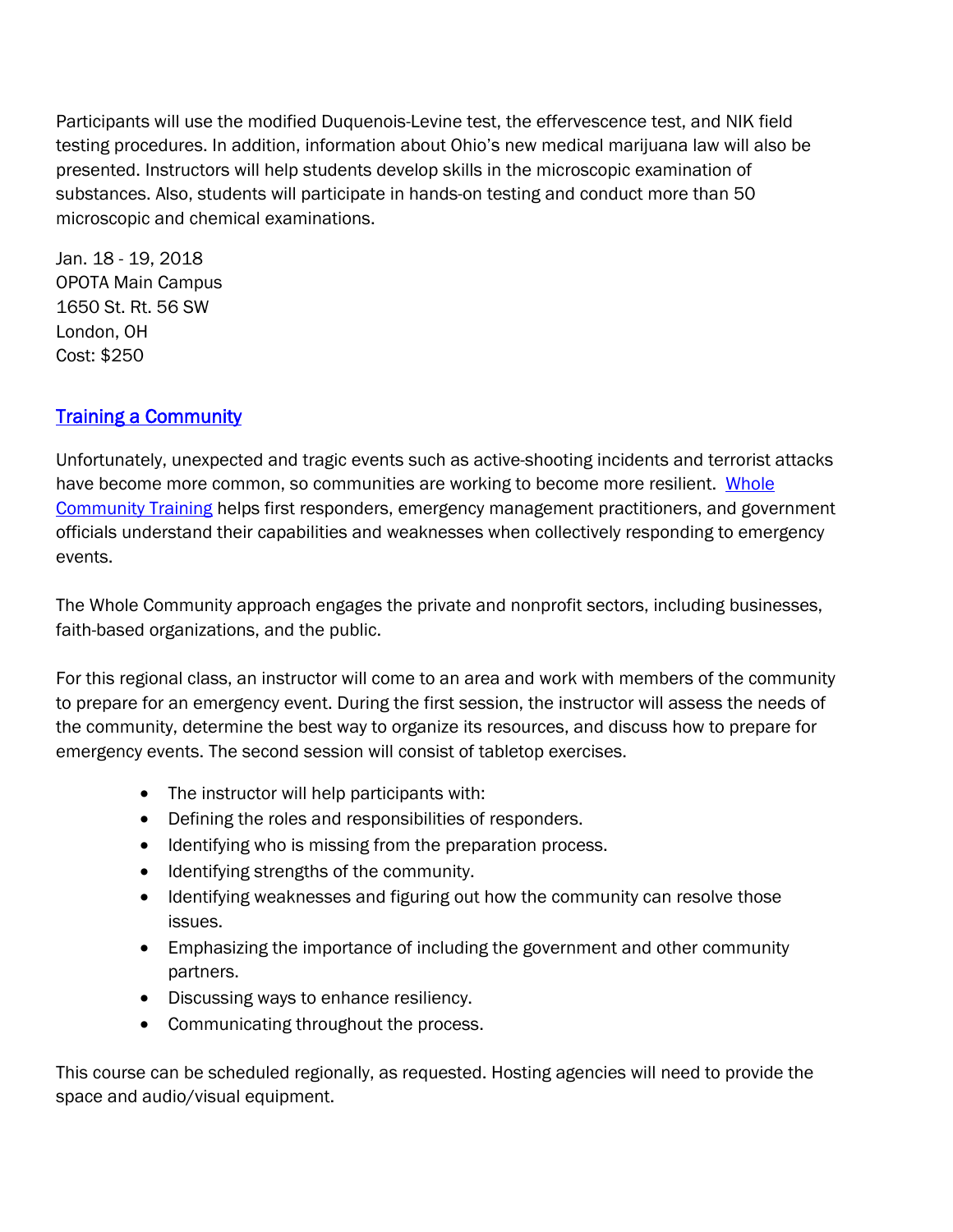Participants will use the modified Duquenois-Levine test, the effervescence test, and NIK field testing procedures. In addition, information about Ohio's new medical marijuana law will also be presented. Instructors will help students develop skills in the microscopic examination of substances. Also, students will participate in hands-on testing and conduct more than 50 microscopic and chemical examinations.

Jan. 18 - 19, 2018 OPOTA Main Campus 1650 St. Rt. 56 SW London, OH Cost: \$250

## **[Training a Community](http://www.ohioattorneygeneral.gov/Media/Newsletters/Ohio-Peace-Officer-Training-Academy-email-newslett/December-2017-(1)/Training-a-Community)**

Unfortunately, unexpected and tragic events such as active-shooting incidents and terrorist attacks have become more common, so communities are working to become more resilient. [Whole](http://www.ohioattorneygeneral.gov/Media/Newsletters/Ohio-Peace-Officer-Training-Academy-email-newslett/December-2017-(1)/Training-a-Community)  [Community Training](http://www.ohioattorneygeneral.gov/Media/Newsletters/Ohio-Peace-Officer-Training-Academy-email-newslett/December-2017-(1)/Training-a-Community) helps first responders, emergency management practitioners, and government officials understand their capabilities and weaknesses when collectively responding to emergency events.

The Whole Community approach engages the private and nonprofit sectors, including businesses, faith-based organizations, and the public.

For this regional class, an instructor will come to an area and work with members of the community to prepare for an emergency event. During the first session, the instructor will assess the needs of the community, determine the best way to organize its resources, and discuss how to prepare for emergency events. The second session will consist of tabletop exercises.

- The instructor will help participants with:
- Defining the roles and responsibilities of responders.
- Identifying who is missing from the preparation process.
- Identifying strengths of the community.
- Identifying weaknesses and figuring out how the community can resolve those issues.
- Emphasizing the importance of including the government and other community partners.
- Discussing ways to enhance resiliency.
- Communicating throughout the process.

This course can be scheduled regionally, as requested. Hosting agencies will need to provide the space and audio/visual equipment.